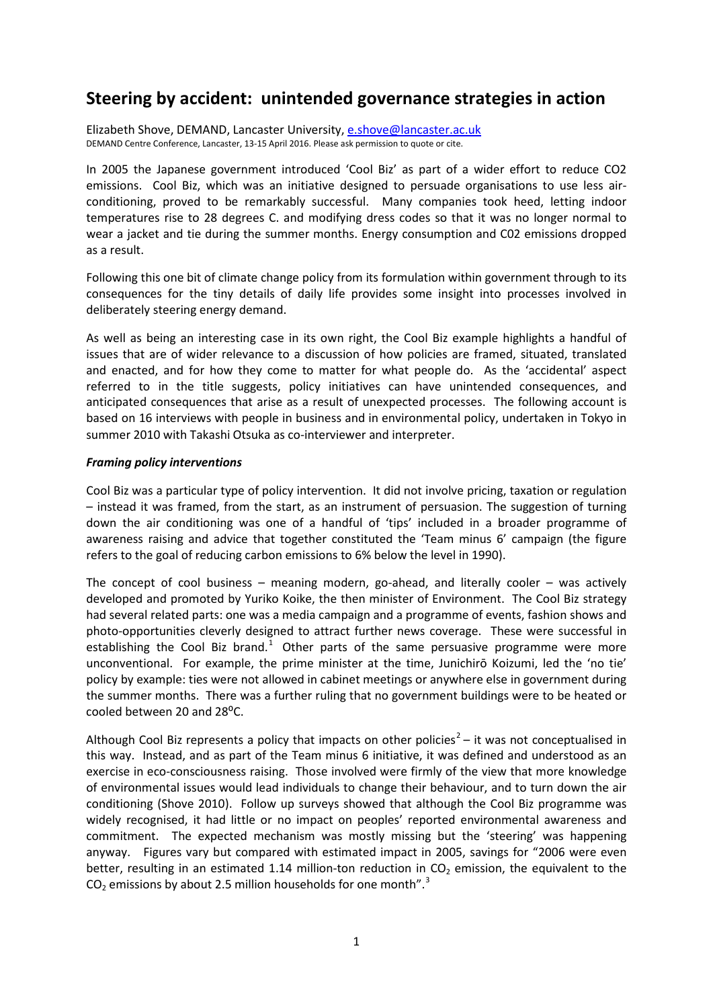# **Steering by accident: unintended governance strategies in action**

Elizabeth Shove, DEMAND, Lancaster University, [e.shove@lancaster.ac.uk](mailto:e.shove@lancaster.ac.uk) DEMAND Centre Conference, Lancaster, 13-15 April 2016. Please ask permission to quote or cite.

In 2005 the Japanese government introduced 'Cool Biz' as part of a wider effort to reduce CO2 emissions. Cool Biz, which was an initiative designed to persuade organisations to use less airconditioning, proved to be remarkably successful. Many companies took heed, letting indoor temperatures rise to 28 degrees C. and modifying dress codes so that it was no longer normal to wear a jacket and tie during the summer months. Energy consumption and C02 emissions dropped as a result.

Following this one bit of climate change policy from its formulation within government through to its consequences for the tiny details of daily life provides some insight into processes involved in deliberately steering energy demand.

As well as being an interesting case in its own right, the Cool Biz example highlights a handful of issues that are of wider relevance to a discussion of how policies are framed, situated, translated and enacted, and for how they come to matter for what people do. As the 'accidental' aspect referred to in the title suggests, policy initiatives can have unintended consequences, and anticipated consequences that arise as a result of unexpected processes. The following account is based on 16 interviews with people in business and in environmental policy, undertaken in Tokyo in summer 2010 with Takashi Otsuka as co-interviewer and interpreter.

## *Framing policy interventions*

Cool Biz was a particular type of policy intervention. It did not involve pricing, taxation or regulation – instead it was framed, from the start, as an instrument of persuasion. The suggestion of turning down the air conditioning was one of a handful of 'tips' included in a broader programme of awareness raising and advice that together constituted the 'Team minus 6' campaign (the figure refers to the goal of reducing carbon emissions to 6% below the level in 1990).

The concept of cool business – meaning modern, go-ahead, and literally cooler – was actively developed and promoted by Yuriko Koike, the then minister of Environment. The Cool Biz strategy had several related parts: one was a media campaign and a programme of events, fashion shows and photo-opportunities cleverly designed to attract further news coverage. These were successful in establishing the Cool Biz brand.<sup>[1](#page-6-0)</sup> Other parts of the same persuasive programme were more unconventional. For example, the prime minister at the time, Junichirō Koizumi, led the 'no tie' policy by example: ties were not allowed in cabinet meetings or anywhere else in government during the summer months. There was a further ruling that no government buildings were to be heated or cooled between 20 and 28°C.

Although Cool Biz represents a policy that impacts on other policies<sup>[2](#page-6-1)</sup> – it was not conceptualised in this way. Instead, and as part of the Team minus 6 initiative, it was defined and understood as an exercise in eco-consciousness raising. Those involved were firmly of the view that more knowledge of environmental issues would lead individuals to change their behaviour, and to turn down the air conditioning (Shove 2010). Follow up surveys showed that although the Cool Biz programme was widely recognised, it had little or no impact on peoples' reported environmental awareness and commitment. The expected mechanism was mostly missing but the 'steering' was happening anyway. Figures vary but compared with estimated impact in 2005, savings for "2006 were even better, resulting in an estimated 1.14 million-ton reduction in  $CO<sub>2</sub>$  emission, the equivalent to the  $CO<sub>2</sub>$  emissions by about 2.5 million households for one month".<sup>[3](#page-6-2)</sup>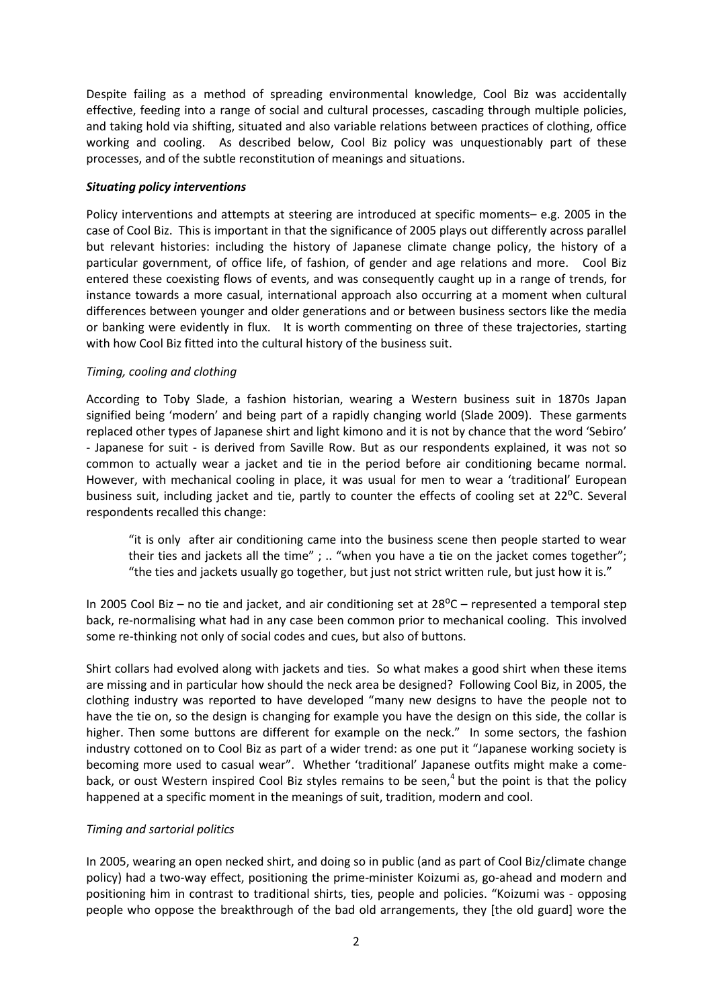Despite failing as a method of spreading environmental knowledge, Cool Biz was accidentally effective, feeding into a range of social and cultural processes, cascading through multiple policies, and taking hold via shifting, situated and also variable relations between practices of clothing, office working and cooling. As described below, Cool Biz policy was unquestionably part of these processes, and of the subtle reconstitution of meanings and situations.

## *Situating policy interventions*

Policy interventions and attempts at steering are introduced at specific moments– e.g. 2005 in the case of Cool Biz. This is important in that the significance of 2005 plays out differently across parallel but relevant histories: including the history of Japanese climate change policy, the history of a particular government, of office life, of fashion, of gender and age relations and more. Cool Biz entered these coexisting flows of events, and was consequently caught up in a range of trends, for instance towards a more casual, international approach also occurring at a moment when cultural differences between younger and older generations and or between business sectors like the media or banking were evidently in flux. It is worth commenting on three of these trajectories, starting with how Cool Biz fitted into the cultural history of the business suit.

## *Timing, cooling and clothing*

According to Toby Slade, a fashion historian, wearing a Western business suit in 1870s Japan signified being 'modern' and being part of a rapidly changing world (Slade 2009). These garments replaced other types of Japanese shirt and light kimono and it is not by chance that the word 'Sebiro' - Japanese for suit - is derived from Saville Row. But as our respondents explained, it was not so common to actually wear a jacket and tie in the period before air conditioning became normal. However, with mechanical cooling in place, it was usual for men to wear a 'traditional' European business suit, including jacket and tie, partly to counter the effects of cooling set at 22<sup>o</sup>C. Several respondents recalled this change:

"it is only after air conditioning came into the business scene then people started to wear their ties and jackets all the time" ; .. "when you have a tie on the jacket comes together"; "the ties and jackets usually go together, but just not strict written rule, but just how it is."

In 2005 Cool Biz – no tie and jacket, and air conditioning set at  $28^{\circ}$ C – represented a temporal step back, re-normalising what had in any case been common prior to mechanical cooling. This involved some re-thinking not only of social codes and cues, but also of buttons.

Shirt collars had evolved along with jackets and ties. So what makes a good shirt when these items are missing and in particular how should the neck area be designed? Following Cool Biz, in 2005, the clothing industry was reported to have developed "many new designs to have the people not to have the tie on, so the design is changing for example you have the design on this side, the collar is higher. Then some buttons are different for example on the neck." In some sectors, the fashion industry cottoned on to Cool Biz as part of a wider trend: as one put it "Japanese working society is becoming more used to casual wear". Whether 'traditional' Japanese outfits might make a comeback, or oust Western inspired Cool Biz styles remains to be seen, $4$  but the point is that the policy happened at a specific moment in the meanings of suit, tradition, modern and cool.

## *Timing and sartorial politics*

In 2005, wearing an open necked shirt, and doing so in public (and as part of Cool Biz/climate change policy) had a two-way effect, positioning the prime-minister Koizumi as, go-ahead and modern and positioning him in contrast to traditional shirts, ties, people and policies. "Koizumi was - opposing people who oppose the breakthrough of the bad old arrangements, they [the old guard] wore the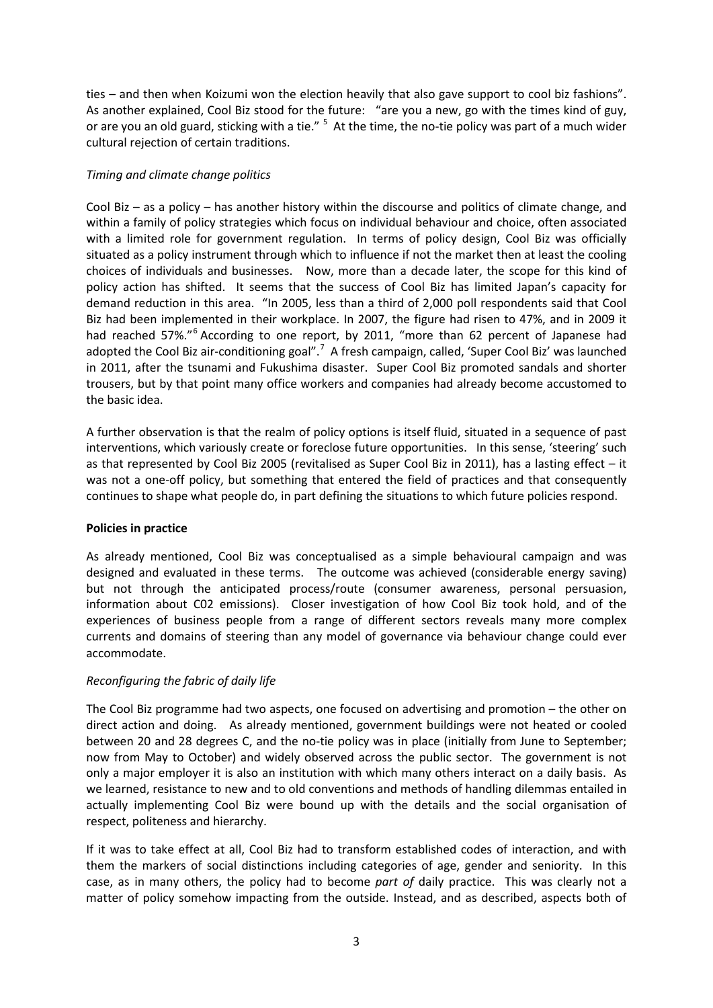ties – and then when Koizumi won the election heavily that also gave support to cool biz fashions". As another explained, Cool Biz stood for the future: "are you a new, go with the times kind of guy, or are you an old guard, sticking with a tie." <sup>[5](#page-6-4)</sup> At the time, the no-tie policy was part of a much wider cultural rejection of certain traditions.

## *Timing and climate change politics*

Cool Biz – as a policy – has another history within the discourse and politics of climate change, and within a family of policy strategies which focus on individual behaviour and choice, often associated with a limited role for government regulation. In terms of policy design, Cool Biz was officially situated as a policy instrument through which to influence if not the market then at least the cooling choices of individuals and businesses. Now, more than a decade later, the scope for this kind of policy action has shifted. It seems that the success of Cool Biz has limited Japan's capacity for demand reduction in this area. "In 2005, less than a third of 2,000 poll respondents said that Cool Biz had been implemented in their workplace. In 2007, the figure had risen to 47%, and in 2009 it had reached 57%."<sup>[6](#page-6-5)</sup> According to one report, by 2011, "more than 62 percent of Japanese had adopted the Cool Biz air-conditioning goal".<sup>[7](#page-6-6)</sup> A fresh campaign, called, 'Super Cool Biz' was launched in 2011, after the tsunami and Fukushima disaster. Super Cool Biz promoted sandals and shorter trousers, but by that point many office workers and companies had already become accustomed to the basic idea.

A further observation is that the realm of policy options is itself fluid, situated in a sequence of past interventions, which variously create or foreclose future opportunities. In this sense, 'steering' such as that represented by Cool Biz 2005 (revitalised as Super Cool Biz in 2011), has a lasting effect – it was not a one-off policy, but something that entered the field of practices and that consequently continues to shape what people do, in part defining the situations to which future policies respond.

### **Policies in practice**

As already mentioned, Cool Biz was conceptualised as a simple behavioural campaign and was designed and evaluated in these terms. The outcome was achieved (considerable energy saving) but not through the anticipated process/route (consumer awareness, personal persuasion, information about C02 emissions). Closer investigation of how Cool Biz took hold, and of the experiences of business people from a range of different sectors reveals many more complex currents and domains of steering than any model of governance via behaviour change could ever accommodate.

# *Reconfiguring the fabric of daily life*

The Cool Biz programme had two aspects, one focused on advertising and promotion – the other on direct action and doing. As already mentioned, government buildings were not heated or cooled between 20 and 28 degrees C, and the no-tie policy was in place (initially from June to September; now from May to October) and widely observed across the public sector. The government is not only a major employer it is also an institution with which many others interact on a daily basis. As we learned, resistance to new and to old conventions and methods of handling dilemmas entailed in actually implementing Cool Biz were bound up with the details and the social organisation of respect, politeness and hierarchy.

If it was to take effect at all, Cool Biz had to transform established codes of interaction, and with them the markers of social distinctions including categories of age, gender and seniority. In this case, as in many others, the policy had to become *part of* daily practice. This was clearly not a matter of policy somehow impacting from the outside. Instead, and as described, aspects both of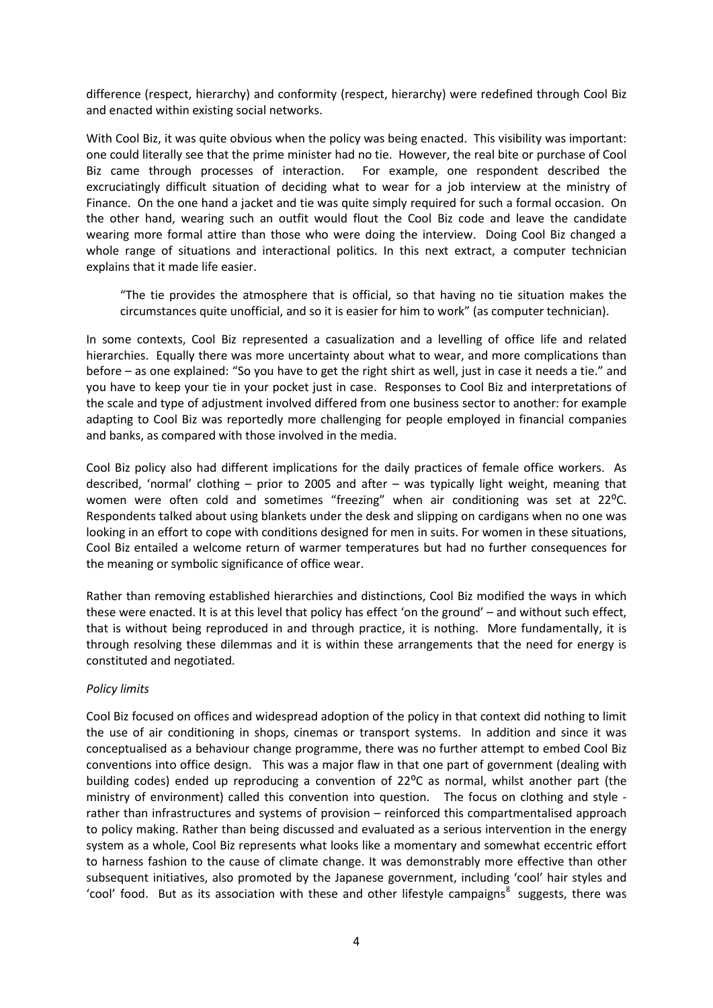difference (respect, hierarchy) and conformity (respect, hierarchy) were redefined through Cool Biz and enacted within existing social networks.

With Cool Biz, it was quite obvious when the policy was being enacted. This visibility was important: one could literally see that the prime minister had no tie. However, the real bite or purchase of Cool Biz came through processes of interaction. For example, one respondent described the excruciatingly difficult situation of deciding what to wear for a job interview at the ministry of Finance. On the one hand a jacket and tie was quite simply required for such a formal occasion. On the other hand, wearing such an outfit would flout the Cool Biz code and leave the candidate wearing more formal attire than those who were doing the interview. Doing Cool Biz changed a whole range of situations and interactional politics. In this next extract, a computer technician explains that it made life easier.

"The tie provides the atmosphere that is official, so that having no tie situation makes the circumstances quite unofficial, and so it is easier for him to work" (as computer technician).

In some contexts, Cool Biz represented a casualization and a levelling of office life and related hierarchies. Equally there was more uncertainty about what to wear, and more complications than before – as one explained: "So you have to get the right shirt as well, just in case it needs a tie." and you have to keep your tie in your pocket just in case. Responses to Cool Biz and interpretations of the scale and type of adjustment involved differed from one business sector to another: for example adapting to Cool Biz was reportedly more challenging for people employed in financial companies and banks, as compared with those involved in the media.

Cool Biz policy also had different implications for the daily practices of female office workers. As described, 'normal' clothing – prior to 2005 and after – was typically light weight, meaning that women were often cold and sometimes "freezing" when air conditioning was set at 22 °C. Respondents talked about using blankets under the desk and slipping on cardigans when no one was looking in an effort to cope with conditions designed for men in suits. For women in these situations, Cool Biz entailed a welcome return of warmer temperatures but had no further consequences for the meaning or symbolic significance of office wear.

Rather than removing established hierarchies and distinctions, Cool Biz modified the ways in which these were enacted. It is at this level that policy has effect 'on the ground' – and without such effect, that is without being reproduced in and through practice, it is nothing. More fundamentally, it is through resolving these dilemmas and it is within these arrangements that the need for energy is constituted and negotiated.

### *Policy limits*

Cool Biz focused on offices and widespread adoption of the policy in that context did nothing to limit the use of air conditioning in shops, cinemas or transport systems. In addition and since it was conceptualised as a behaviour change programme, there was no further attempt to embed Cool Biz conventions into office design. This was a major flaw in that one part of government (dealing with building codes) ended up reproducing a convention of  $22^{\circ}$ C as normal, whilst another part (the ministry of environment) called this convention into question. The focus on clothing and style rather than infrastructures and systems of provision – reinforced this compartmentalised approach to policy making. Rather than being discussed and evaluated as a serious intervention in the energy system as a whole, Cool Biz represents what looks like a momentary and somewhat eccentric effort to harness fashion to the cause of climate change. It was demonstrably more effective than other subsequent initiatives, also promoted by the Japanese government, including 'cool' hair styles and 'cool' food. But as its association with these and other lifestyle campaigns<sup>[8](#page-6-7)</sup> suggests, there was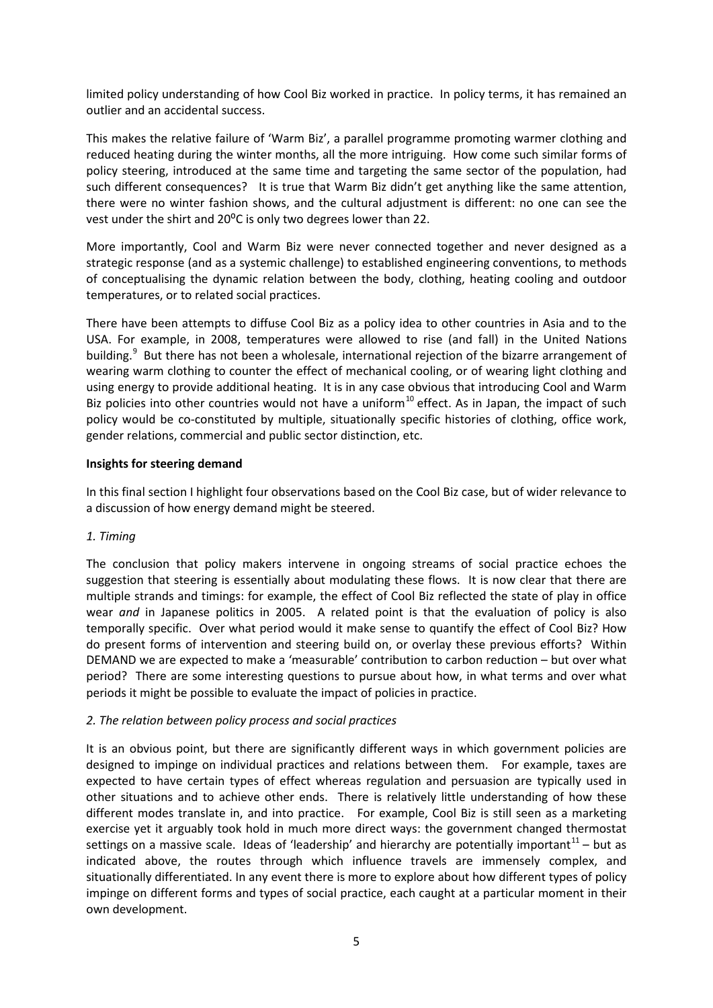limited policy understanding of how Cool Biz worked in practice. In policy terms, it has remained an outlier and an accidental success.

This makes the relative failure of 'Warm Biz', a parallel programme promoting warmer clothing and reduced heating during the winter months, all the more intriguing. How come such similar forms of policy steering, introduced at the same time and targeting the same sector of the population, had such different consequences? It is true that Warm Biz didn't get anything like the same attention, there were no winter fashion shows, and the cultural adjustment is different: no one can see the vest under the shirt and 20<sup>o</sup>C is only two degrees lower than 22.

More importantly, Cool and Warm Biz were never connected together and never designed as a strategic response (and as a systemic challenge) to established engineering conventions, to methods of conceptualising the dynamic relation between the body, clothing, heating cooling and outdoor temperatures, or to related social practices.

There have been attempts to diffuse Cool Biz as a policy idea to other countries in Asia and to the USA. For example, in 2008, temperatures were allowed to rise (and fall) in the United Nations building.<sup>[9](#page-6-8)</sup> But there has not been a wholesale, international rejection of the bizarre arrangement of wearing warm clothing to counter the effect of mechanical cooling, or of wearing light clothing and using energy to provide additional heating. It is in any case obvious that introducing Cool and Warm Biz policies into other countries would not have a uniform<sup>[10](#page-6-9)</sup> effect. As in Japan, the impact of such policy would be co-constituted by multiple, situationally specific histories of clothing, office work, gender relations, commercial and public sector distinction, etc.

### **Insights for steering demand**

In this final section I highlight four observations based on the Cool Biz case, but of wider relevance to a discussion of how energy demand might be steered.

### *1. Timing*

The conclusion that policy makers intervene in ongoing streams of social practice echoes the suggestion that steering is essentially about modulating these flows. It is now clear that there are multiple strands and timings: for example, the effect of Cool Biz reflected the state of play in office wear *and* in Japanese politics in 2005. A related point is that the evaluation of policy is also temporally specific. Over what period would it make sense to quantify the effect of Cool Biz? How do present forms of intervention and steering build on, or overlay these previous efforts? Within DEMAND we are expected to make a 'measurable' contribution to carbon reduction – but over what period? There are some interesting questions to pursue about how, in what terms and over what periods it might be possible to evaluate the impact of policies in practice.

### *2. The relation between policy process and social practices*

It is an obvious point, but there are significantly different ways in which government policies are designed to impinge on individual practices and relations between them. For example, taxes are expected to have certain types of effect whereas regulation and persuasion are typically used in other situations and to achieve other ends. There is relatively little understanding of how these different modes translate in, and into practice. For example, Cool Biz is still seen as a marketing exercise yet it arguably took hold in much more direct ways: the government changed thermostat settings on a massive scale. Ideas of 'leadership' and hierarchy are potentially important<sup>[11](#page-6-10)</sup> – but as indicated above, the routes through which influence travels are immensely complex, and situationally differentiated. In any event there is more to explore about how different types of policy impinge on different forms and types of social practice, each caught at a particular moment in their own development.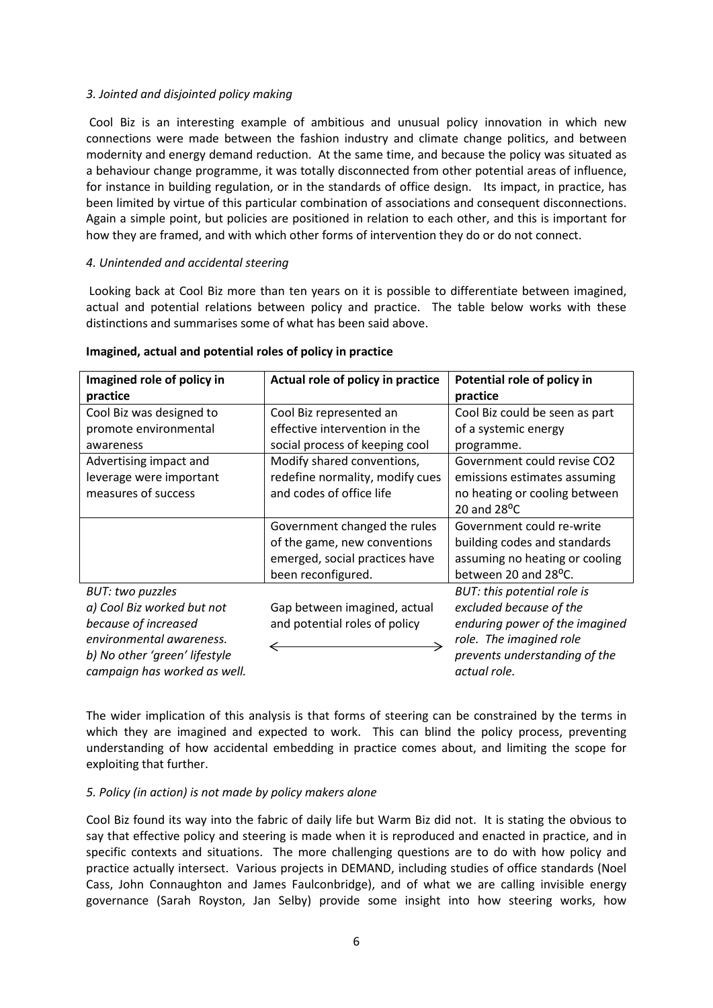## *3. Jointed and disjointed policy making*

Cool Biz is an interesting example of ambitious and unusual policy innovation in which new connections were made between the fashion industry and climate change politics, and between modernity and energy demand reduction. At the same time, and because the policy was situated as a behaviour change programme, it was totally disconnected from other potential areas of influence, for instance in building regulation, or in the standards of office design. Its impact, in practice, has been limited by virtue of this particular combination of associations and consequent disconnections. Again a simple point, but policies are positioned in relation to each other, and this is important for how they are framed, and with which other forms of intervention they do or do not connect.

## *4. Unintended and accidental steering*

Looking back at Cool Biz more than ten years on it is possible to differentiate between imagined, actual and potential relations between policy and practice. The table below works with these distinctions and summarises some of what has been said above.

| Imagined role of policy in    | Actual role of policy in practice | Potential role of policy in       |
|-------------------------------|-----------------------------------|-----------------------------------|
| practice                      |                                   | practice                          |
| Cool Biz was designed to      | Cool Biz represented an           | Cool Biz could be seen as part    |
| promote environmental         | effective intervention in the     | of a systemic energy              |
| awareness                     | social process of keeping cool    | programme.                        |
| Advertising impact and        | Modify shared conventions,        | Government could revise CO2       |
| leverage were important       | redefine normality, modify cues   | emissions estimates assuming      |
| measures of success           | and codes of office life          | no heating or cooling between     |
|                               |                                   | 20 and $28^{\circ}$ C             |
|                               | Government changed the rules      | Government could re-write         |
|                               | of the game, new conventions      | building codes and standards      |
|                               | emerged, social practices have    | assuming no heating or cooling    |
|                               | been reconfigured.                | between 20 and 28 <sup>o</sup> C. |
| <b>BUT: two puzzles</b>       |                                   | BUT: this potential role is       |
| a) Cool Biz worked but not    | Gap between imagined, actual      | excluded because of the           |
| because of increased          | and potential roles of policy     | enduring power of the imagined    |
| environmental awareness.      |                                   | role. The imagined role           |
| b) No other 'green' lifestyle |                                   | prevents understanding of the     |
| campaign has worked as well.  |                                   | actual role.                      |

### **Imagined, actual and potential roles of policy in practice**

The wider implication of this analysis is that forms of steering can be constrained by the terms in which they are imagined and expected to work. This can blind the policy process, preventing understanding of how accidental embedding in practice comes about, and limiting the scope for exploiting that further.

# *5. Policy (in action) is not made by policy makers alone*

Cool Biz found its way into the fabric of daily life but Warm Biz did not. It is stating the obvious to say that effective policy and steering is made when it is reproduced and enacted in practice, and in specific contexts and situations. The more challenging questions are to do with how policy and practice actually intersect. Various projects in DEMAND, including studies of office standards (Noel Cass, John Connaughton and James Faulconbridge), and of what we are calling invisible energy governance (Sarah Royston, Jan Selby) provide some insight into how steering works, how